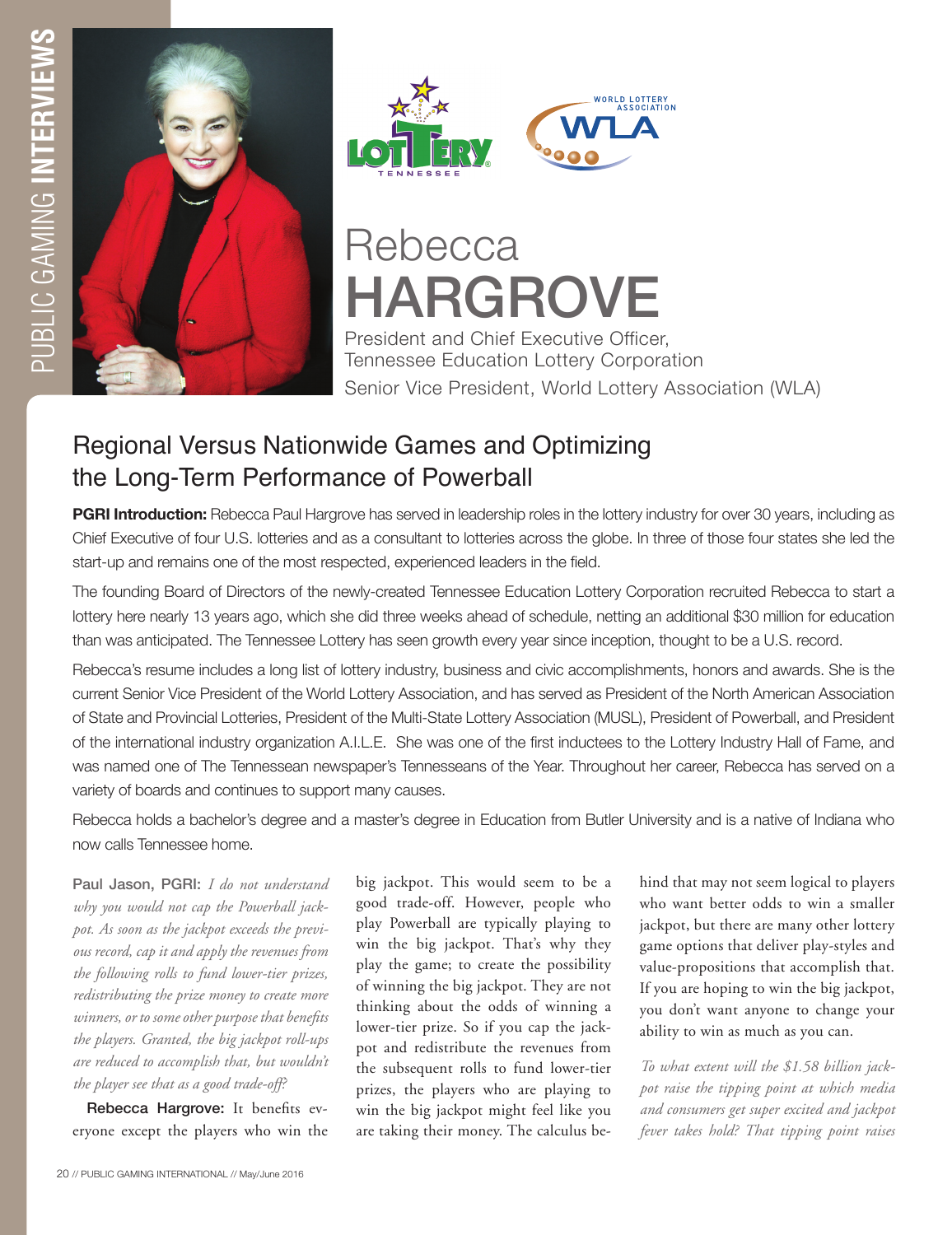





# **Rebecca** HARGROVE

President and Chief Executive Officer, Tennessee Education Lottery Corporation Senior Vice President, World Lottery Association (WLA)

# Regional Versus Nationwide Games and Optimizing the Long-Term Performance of Powerball

**PGRI Introduction:** Rebecca Paul Hargrove has served in leadership roles in the lottery industry for over 30 years, including as Chief Executive of four U.S. lotteries and as a consultant to lotteries across the globe. In three of those four states she led the start-up and remains one of the most respected, experienced leaders in the field.

The founding Board of Directors of the newly-created Tennessee Education Lottery Corporation recruited Rebecca to start a lottery here nearly 13 years ago, which she did three weeks ahead of schedule, netting an additional \$30 million for education than was anticipated. The Tennessee Lottery has seen growth every year since inception, thought to be a U.S. record.

Rebecca's resume includes a long list of lottery industry, business and civic accomplishments, honors and awards. She is the current Senior Vice President of the World Lottery Association, and has served as President of the North American Association of State and Provincial Lotteries, President of the Multi-State Lottery Association (MUSL), President of Powerball, and President of the international industry organization A.I.L.E. She was one of the first inductees to the Lottery Industry Hall of Fame, and was named one of The Tennessean newspaper's Tennesseans of the Year. Throughout her career, Rebecca has served on a variety of boards and continues to support many causes.

Rebecca holds a bachelor's degree and a master's degree in Education from Butler University and is a native of Indiana who now calls Tennessee home.

Paul Jason, PGRI: *I do not understand why you would not cap the Powerball jackpot. As soon as the jackpot exceeds the previous record, cap it and apply the revenues from the following rolls to fund lower-tier prizes, redistributing the prize money to create more winners, or to some other purpose that benefits the players. Granted, the big jackpot roll-ups are reduced to accomplish that, but wouldn't the player see that as a good trade-off?* 

Rebecca Hargrove: It benefits everyone except the players who win the big jackpot. This would seem to be a good trade-off. However, people who play Powerball are typically playing to win the big jackpot. That's why they play the game; to create the possibility of winning the big jackpot. They are not thinking about the odds of winning a lower-tier prize. So if you cap the jackpot and redistribute the revenues from the subsequent rolls to fund lower-tier prizes, the players who are playing to win the big jackpot might feel like you are taking their money. The calculus behind that may not seem logical to players who want better odds to win a smaller jackpot, but there are many other lottery game options that deliver play-styles and value-propositions that accomplish that. If you are hoping to win the big jackpot, you don't want anyone to change your ability to win as much as you can.

*To what extent will the \$1.58 billion jackpot raise the tipping point at which media and consumers get super excited and jackpot fever takes hold? That tipping point raises*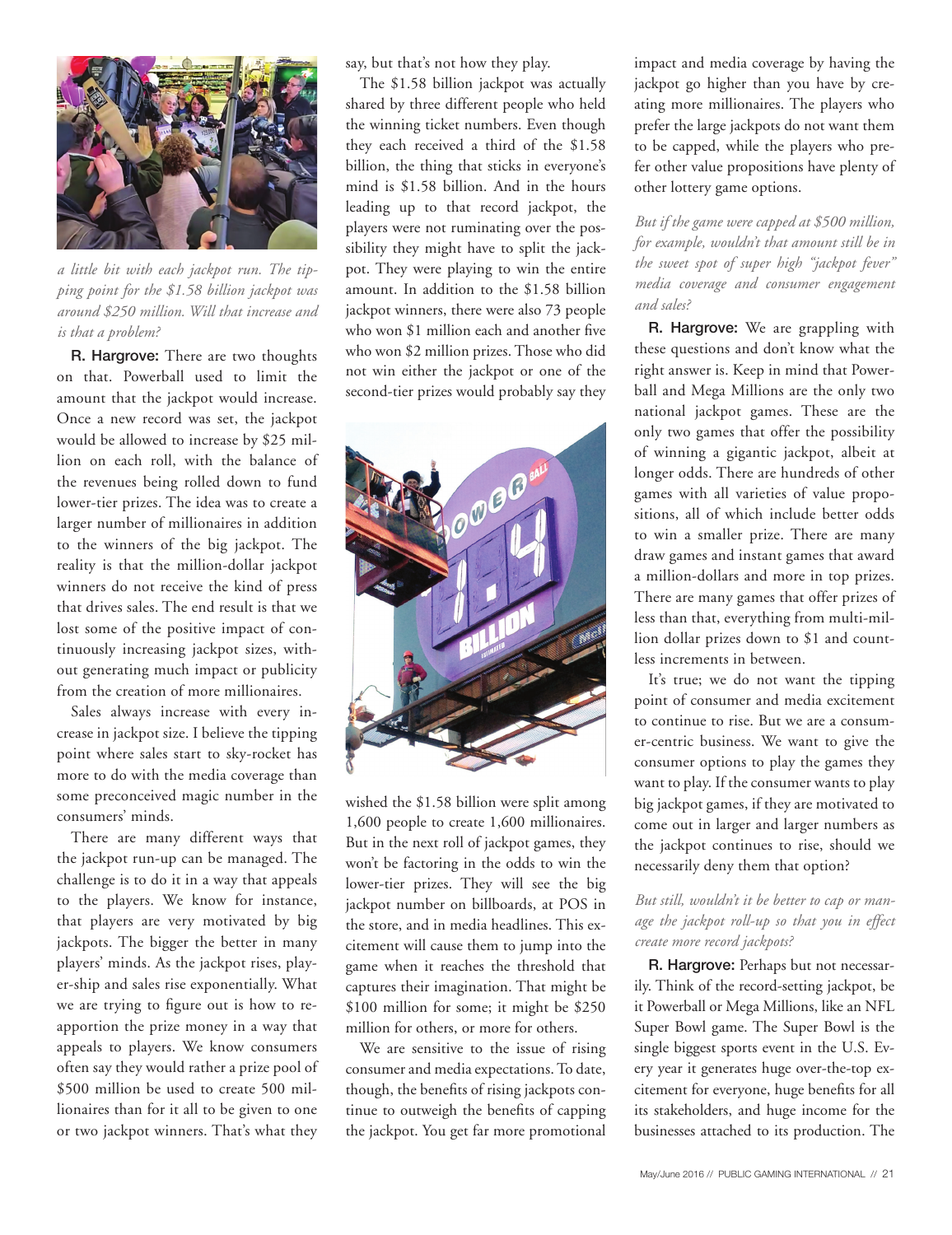

*a little bit with each jackpot run. The tipping point for the \$1.58 billion jackpot was around \$250 million. Will that increase and is that a problem?* 

R. Hargrove: There are two thoughts on that. Powerball used to limit the amount that the jackpot would increase. Once a new record was set, the jackpot would be allowed to increase by \$25 million on each roll, with the balance of the revenues being rolled down to fund lower-tier prizes. The idea was to create a larger number of millionaires in addition to the winners of the big jackpot. The reality is that the million-dollar jackpot winners do not receive the kind of press that drives sales. The end result is that we lost some of the positive impact of continuously increasing jackpot sizes, without generating much impact or publicity from the creation of more millionaires.

Sales always increase with every increase in jackpot size. I believe the tipping point where sales start to sky-rocket has more to do with the media coverage than some preconceived magic number in the consumers' minds.

There are many different ways that the jackpot run-up can be managed. The challenge is to do it in a way that appeals to the players. We know for instance, that players are very motivated by big jackpots. The bigger the better in many players' minds. As the jackpot rises, player-ship and sales rise exponentially. What we are trying to figure out is how to reapportion the prize money in a way that appeals to players. We know consumers often say they would rather a prize pool of \$500 million be used to create 500 millionaires than for it all to be given to one or two jackpot winners. That's what they

say, but that's not how they play.

The \$1.58 billion jackpot was actually shared by three different people who held the winning ticket numbers. Even though they each received a third of the \$1.58 billion, the thing that sticks in everyone's mind is \$1.58 billion. And in the hours leading up to that record jackpot, the players were not ruminating over the possibility they might have to split the jackpot. They were playing to win the entire amount. In addition to the \$1.58 billion jackpot winners, there were also 73 people who won \$1 million each and another five who won \$2 million prizes. Those who did not win either the jackpot or one of the second-tier prizes would probably say they



wished the \$1.58 billion were split among 1,600 people to create 1,600 millionaires. But in the next roll of jackpot games, they won't be factoring in the odds to win the lower-tier prizes. They will see the big jackpot number on billboards, at POS in the store, and in media headlines. This excitement will cause them to jump into the game when it reaches the threshold that captures their imagination. That might be \$100 million for some; it might be \$250 million for others, or more for others.

We are sensitive to the issue of rising consumer and media expectations. To date, though, the benefits of rising jackpots continue to outweigh the benefits of capping the jackpot. You get far more promotional impact and media coverage by having the jackpot go higher than you have by creating more millionaires. The players who prefer the large jackpots do not want them to be capped, while the players who prefer other value propositions have plenty of other lottery game options.

*But if the game were capped at \$500 million, for example, wouldn't that amount still be in the sweet spot of super high "jackpot fever" media coverage and consumer engagement and sales?* 

R. Hargrove: We are grappling with these questions and don't know what the right answer is. Keep in mind that Powerball and Mega Millions are the only two national jackpot games. These are the only two games that offer the possibility of winning a gigantic jackpot, albeit at longer odds. There are hundreds of other games with all varieties of value propositions, all of which include better odds to win a smaller prize. There are many draw games and instant games that award a million-dollars and more in top prizes. There are many games that offer prizes of less than that, everything from multi-million dollar prizes down to \$1 and countless increments in between.

It's true; we do not want the tipping point of consumer and media excitement to continue to rise. But we are a consumer-centric business. We want to give the consumer options to play the games they want to play. If the consumer wants to play big jackpot games, if they are motivated to come out in larger and larger numbers as the jackpot continues to rise, should we necessarily deny them that option?

### *But still, wouldn't it be better to cap or manage the jackpot roll-up so that you in effect create more record jackpots?*

R. Hargrove: Perhaps but not necessarily. Think of the record-setting jackpot, be it Powerball or Mega Millions, like an NFL Super Bowl game. The Super Bowl is the single biggest sports event in the U.S. Every year it generates huge over-the-top excitement for everyone, huge benefits for all its stakeholders, and huge income for the businesses attached to its production. The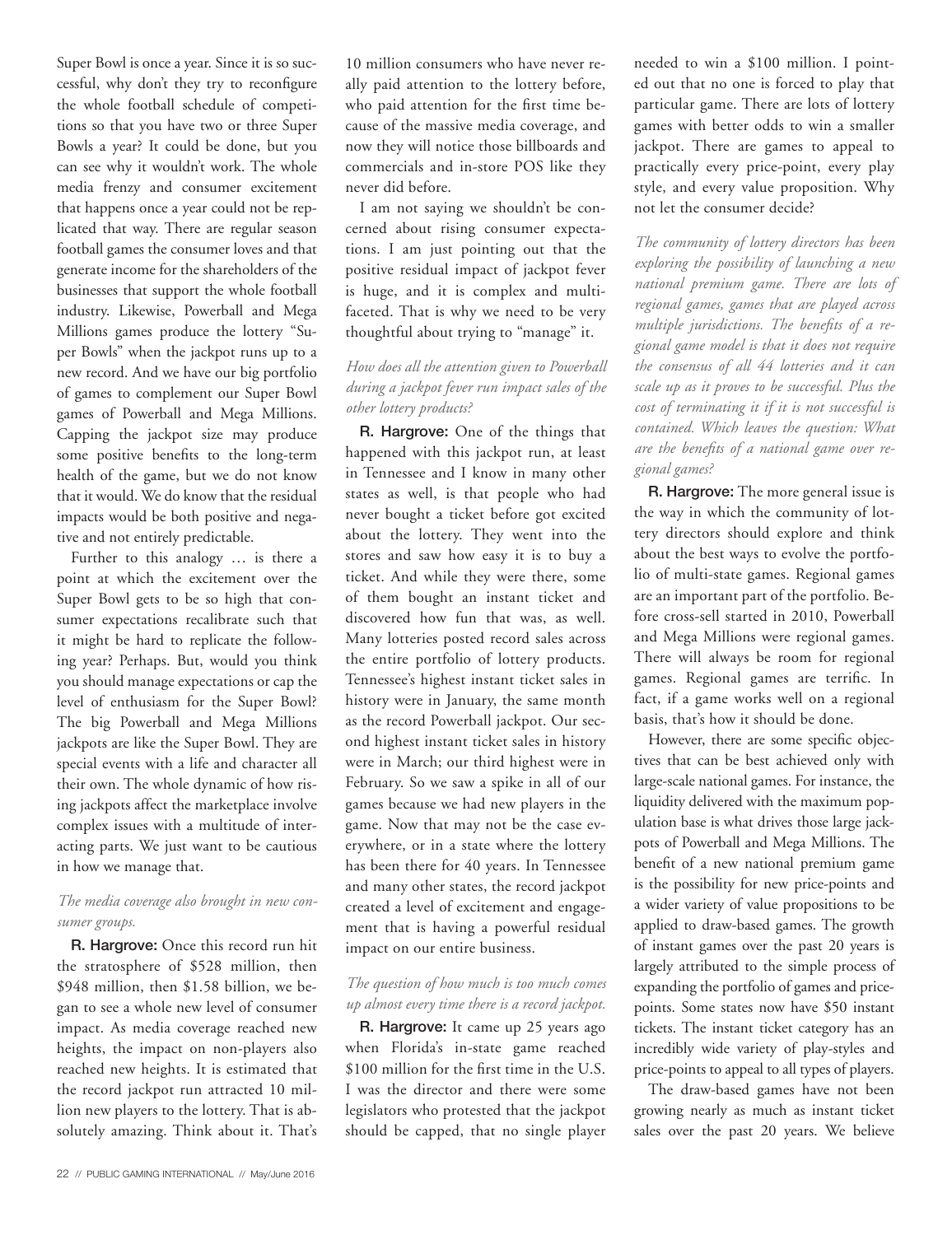Super Bowl is once a year. Since it is so successful, why don't they try to reconfigure the whole football schedule of competitions so that you have two or three Super Bowls a year? It could be done, but you can see why it wouldn't work. The whole media frenzy and consumer excitement that happens once a year could not be replicated that way. There are regular season football games the consumer loves and that generate income for the shareholders of the businesses that support the whole football industry. Likewise, Powerball and Mega Millions games produce the lottery "Super Bowls" when the jackpot runs up to a new record. And we have our big portfolio of games to complement our Super Bowl games of Powerball and Mega Millions. Capping the jackpot size may produce some positive benefits to the long-term health of the game, but we do not know that it would. We do know that the residual impacts would be both positive and negative and not entirely predictable.

Further to this analogy … is there a point at which the excitement over the Super Bowl gets to be so high that consumer expectations recalibrate such that it might be hard to replicate the following year? Perhaps. But, would you think you should manage expectations or cap the level of enthusiasm for the Super Bowl? The big Powerball and Mega Millions jackpots are like the Super Bowl. They are special events with a life and character all their own. The whole dynamic of how rising jackpots affect the marketplace involve complex issues with a multitude of interacting parts. We just want to be cautious in how we manage that.

#### *The media coverage also brought in new consumer groups.*

R. Hargrove: Once this record run hit the stratosphere of \$528 million, then \$948 million, then \$1.58 billion, we began to see a whole new level of consumer impact. As media coverage reached new heights, the impact on non-players also reached new heights. It is estimated that the record jackpot run attracted 10 million new players to the lottery. That is absolutely amazing. Think about it. That's

10 million consumers who have never really paid attention to the lottery before, who paid attention for the first time because of the massive media coverage, and now they will notice those billboards and commercials and in-store POS like they never did before.

I am not saying we shouldn't be concerned about rising consumer expectations. I am just pointing out that the positive residual impact of jackpot fever is huge, and it is complex and multifaceted. That is why we need to be very thoughtful about trying to "manage" it.

# *How does all the attention given to Powerball during a jackpot fever run impact sales of the other lottery products?*

R. Hargrove: One of the things that happened with this jackpot run, at least in Tennessee and I know in many other states as well, is that people who had never bought a ticket before got excited about the lottery. They went into the stores and saw how easy it is to buy a ticket. And while they were there, some of them bought an instant ticket and discovered how fun that was, as well. Many lotteries posted record sales across the entire portfolio of lottery products. Tennessee's highest instant ticket sales in history were in January, the same month as the record Powerball jackpot. Our second highest instant ticket sales in history were in March; our third highest were in February. So we saw a spike in all of our games because we had new players in the game. Now that may not be the case everywhere, or in a state where the lottery has been there for 40 years. In Tennessee and many other states, the record jackpot created a level of excitement and engagement that is having a powerful residual impact on our entire business.

## *The question of how much is too much comes up almost every time there is a record jackpot.*

R. Hargrove: It came up 25 years ago when Florida's in-state game reached \$100 million for the first time in the U.S. I was the director and there were some legislators who protested that the jackpot should be capped, that no single player

needed to win a \$100 million. I pointed out that no one is forced to play that particular game. There are lots of lottery games with better odds to win a smaller jackpot. There are games to appeal to practically every price-point, every play style, and every value proposition. Why not let the consumer decide?

*The community of lottery directors has been exploring the possibility of launching a new national premium game. There are lots of regional games, games that are played across multiple jurisdictions. The benefits of a regional game model is that it does not require the consensus of all 44 lotteries and it can scale up as it proves to be successful. Plus the cost of terminating it if it is not successful is contained. Which leaves the question: What are the benefits of a national game over regional games?*

R. Hargrove: The more general issue is the way in which the community of lottery directors should explore and think about the best ways to evolve the portfolio of multi-state games. Regional games are an important part of the portfolio. Before cross-sell started in 2010, Powerball and Mega Millions were regional games. There will always be room for regional games. Regional games are terrific. In fact, if a game works well on a regional basis, that's how it should be done.

However, there are some specific objectives that can be best achieved only with large-scale national games. For instance, the liquidity delivered with the maximum population base is what drives those large jackpots of Powerball and Mega Millions. The benefit of a new national premium game is the possibility for new price-points and a wider variety of value propositions to be applied to draw-based games. The growth of instant games over the past 20 years is largely attributed to the simple process of expanding the portfolio of games and pricepoints. Some states now have \$50 instant tickets. The instant ticket category has an incredibly wide variety of play-styles and price-points to appeal to all types of players.

The draw-based games have not been growing nearly as much as instant ticket sales over the past 20 years. We believe